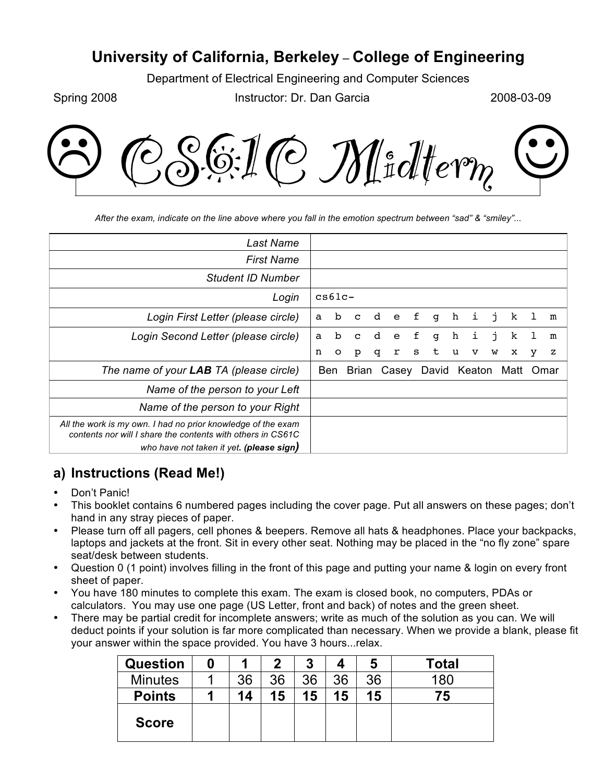# **University of California, Berkeley** – **College of Engineering**

Department of Electrical Engineering and Computer Sciences

Spring 2008 **Instructor: Dr. Dan Garcia** 2008-03-09



*After the exam, indicate on the line above where you fall in the emotion spectrum between "sad" & "smiley"...*

| Last Name                                                                                                                                                               |   |             |                          |             |              |   |   |   |    |    |      |    |      |
|-------------------------------------------------------------------------------------------------------------------------------------------------------------------------|---|-------------|--------------------------|-------------|--------------|---|---|---|----|----|------|----|------|
| <b>First Name</b>                                                                                                                                                       |   |             |                          |             |              |   |   |   |    |    |      |    |      |
| <b>Student ID Number</b>                                                                                                                                                |   |             |                          |             |              |   |   |   |    |    |      |    |      |
| Login                                                                                                                                                                   |   | $cs61c-$    |                          |             |              |   |   |   |    |    |      |    |      |
| Login First Letter (please circle)                                                                                                                                      | a | b           | $\mathbf{C}$             | $\mathbf d$ | $^{\circ}$ e | f | g | h | i, | j  | k    |    | m    |
| Login Second Letter (please circle)                                                                                                                                     | a | $\mathbf b$ | $\mathbf{C}$             | d           | e            | f | q | h | i  | j. | k    | T. | m    |
|                                                                                                                                                                         | n | $\circ$     | p                        | q           | r            | S | t | u | v  | W  | x    | у  | z    |
| The name of your LAB TA (please circle)                                                                                                                                 |   | Ben         | Brian Casey David Keaton |             |              |   |   |   |    |    | Matt |    | Omar |
| Name of the person to your Left                                                                                                                                         |   |             |                          |             |              |   |   |   |    |    |      |    |      |
| Name of the person to your Right                                                                                                                                        |   |             |                          |             |              |   |   |   |    |    |      |    |      |
| All the work is my own. I had no prior knowledge of the exam<br>contents nor will I share the contents with others in CS61C<br>who have not taken it yet. (please sign) |   |             |                          |             |              |   |   |   |    |    |      |    |      |

## **a) Instructions (Read Me!)**

- Don't Panic!
- This booklet contains 6 numbered pages including the cover page. Put all answers on these pages; don't hand in any stray pieces of paper.
- Please turn off all pagers, cell phones & beepers. Remove all hats & headphones. Place your backpacks, laptops and jackets at the front. Sit in every other seat. Nothing may be placed in the "no fly zone" spare seat/desk between students.
- Question 0 (1 point) involves filling in the front of this page and putting your name & login on every front sheet of paper.
- You have 180 minutes to complete this exam. The exam is closed book, no computers, PDAs or calculators. You may use one page (US Letter, front and back) of notes and the green sheet.
- There may be partial credit for incomplete answers; write as much of the solution as you can. We will deduct points if your solution is far more complicated than necessary. When we provide a blank, please fit your answer within the space provided. You have 3 hours...relax.

| <b>Question</b> |    | 2  | 3  |    | 5  | Total |
|-----------------|----|----|----|----|----|-------|
| <b>Minutes</b>  | 36 | 36 | 36 | 36 | 36 | 180   |
| <b>Points</b>   | 14 | 15 | 15 | 15 | 15 | 75    |
| <b>Score</b>    |    |    |    |    |    |       |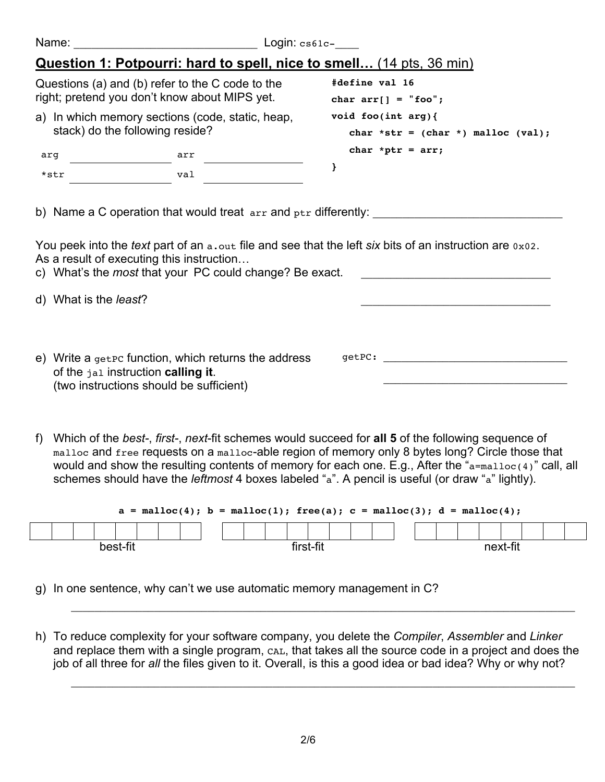| Name:                         | <u> 1980 - Johann Barbara, martxa amerikan per</u>                                                                                         | $Login: \csc_1$                                                                                                 |
|-------------------------------|--------------------------------------------------------------------------------------------------------------------------------------------|-----------------------------------------------------------------------------------------------------------------|
|                               | Question 1: Potpourri: hard to spell, nice to smell (14 pts, 36 min)                                                                       |                                                                                                                 |
|                               | Questions (a) and (b) refer to the C code to the<br>right; pretend you don't know about MIPS yet.                                          | #define val 16<br>char $arr[] = "foo";$                                                                         |
|                               | a) In which memory sections (code, static, heap,<br>stack) do the following reside?                                                        | void foo(int $arg$ ){<br>char *str = $(char * )$ malloc $val);$                                                 |
| arq                           | arr                                                                                                                                        | char *ptr = $arr;$                                                                                              |
| *str                          | val                                                                                                                                        | }                                                                                                               |
| d) What is the <i>least</i> ? | As a result of executing this instruction<br>c) What's the most that your PC could change? Be exact.                                       | You peek into the <i>text</i> part of an a, out file and see that the left six bits of an instruction are 0x02. |
|                               | e) Write a $q$ et $p$ function, which returns the address<br>of the jal instruction calling it.<br>(two instructions should be sufficient) |                                                                                                                 |

f) Which of the *best-*, *first-*, *next*-fit schemes would succeed for **all 5** of the following sequence of malloc and free requests on a malloc-able region of memory only 8 bytes long? Circle those that would and show the resulting contents of memory for each one. E.g., After the "a=malloc(4)" call, all schemes should have the *leftmost* 4 boxes labeled "a". A pencil is useful (or draw "a" lightly).

|  |  |          |  | $a = \text{malloc}(4)$ ; $b = \text{malloc}(1)$ ; free(a); $c = \text{malloc}(3)$ ; $d = \text{malloc}(4)$ ; |  |  |         |  |  |  |  |          |  |  |
|--|--|----------|--|--------------------------------------------------------------------------------------------------------------|--|--|---------|--|--|--|--|----------|--|--|
|  |  |          |  |                                                                                                              |  |  |         |  |  |  |  |          |  |  |
|  |  | best-fit |  |                                                                                                              |  |  | rot fit |  |  |  |  | next-fit |  |  |

- g) In one sentence, why can't we use automatic memory management in C?
- h) To reduce complexity for your software company, you delete the *Compiler*, *Assembler* and *Linker* and replace them with a single program, CAL, that takes all the source code in a project and does the job of all three for *all* the files given to it. Overall, is this a good idea or bad idea? Why or why not?

\_\_\_\_\_\_\_\_\_\_\_\_\_\_\_\_\_\_\_\_\_\_\_\_\_\_\_\_\_\_\_\_\_\_\_\_\_\_\_\_\_\_\_\_\_\_\_\_\_\_\_\_\_\_\_\_\_\_\_\_\_\_\_\_\_\_\_\_\_\_\_\_\_\_\_\_\_\_\_\_\_\_\_\_\_

\_\_\_\_\_\_\_\_\_\_\_\_\_\_\_\_\_\_\_\_\_\_\_\_\_\_\_\_\_\_\_\_\_\_\_\_\_\_\_\_\_\_\_\_\_\_\_\_\_\_\_\_\_\_\_\_\_\_\_\_\_\_\_\_\_\_\_\_\_\_\_\_\_\_\_\_\_\_\_\_\_\_\_\_\_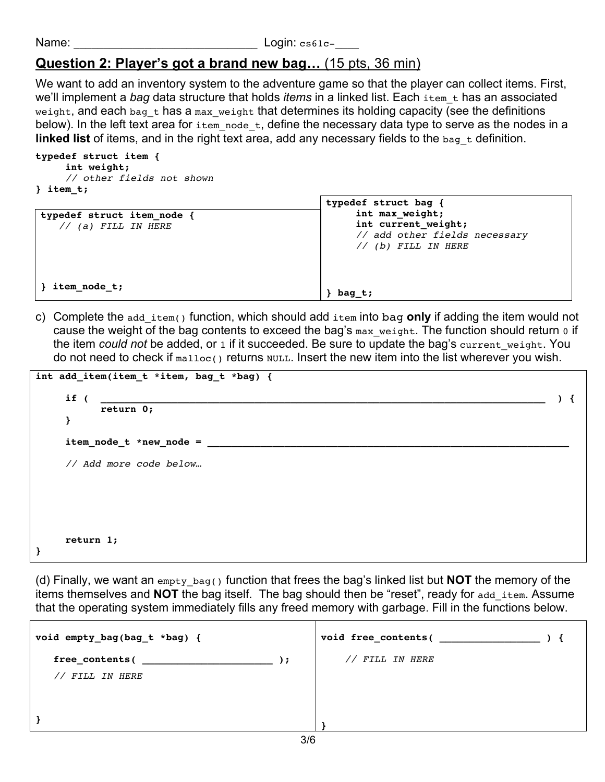Name: \_\_\_\_\_\_\_\_\_\_\_\_\_\_\_\_\_\_\_\_\_\_\_\_\_\_\_\_\_\_\_ Login: cs61c-\_\_\_\_

## **Question 2: Player's got a brand new bag…** (15 pts, 36 min)

We want to add an inventory system to the adventure game so that the player can collect items. First, we'll implement a *bag* data structure that holds *items* in a linked list. Each item t has an associated weight, and each bag  $t$  has a max weight that determines its holding capacity (see the definitions below). In the left text area for  $i$ tem node t, define the necessary data type to serve as the nodes in a **linked list** of items, and in the right text area, add any necessary fields to the bag t definition.

### **typedef struct item { int weight;** *// other fields not shown* **} item\_t;**

| typedef struct item node<br>(a) FILL IN HERE | typedef struct bag {<br>int max_weight;<br>int current weight;<br>// add other fields necessary<br>// (b) FILL IN HERE |
|----------------------------------------------|------------------------------------------------------------------------------------------------------------------------|
| item_node_t;                                 | bag t;                                                                                                                 |

c) Complete the add\_item() function, which should add item into bag **only** if adding the item would not cause the weight of the bag contents to exceed the bag's max weight. The function should return 0 if the item *could not* be added, or 1 if it succeeded. Be sure to update the bag's current\_weight. You do not need to check if  $_{\text{malloc}}($  returns  $_{\text{NULL}}$ . Insert the new item into the list wherever you wish.

| if (<br>return 0;        |  |
|--------------------------|--|
| }                        |  |
| $itemnode_t * newnode =$ |  |
| // Add more code below   |  |
|                          |  |
|                          |  |
|                          |  |

(d) Finally, we want an empty\_bag() function that frees the bag's linked list but **NOT** the memory of the items themselves and **NOT** the bag itself. The bag should then be "reset", ready for add\_item. Assume that the operating system immediately fills any freed memory with garbage. Fill in the functions below.

| void empty_bag(bag_t *bag) { |                 |
|------------------------------|-----------------|
| $, \cdot$                    | // FILL IN HERE |
| // FILL IN HERE              |                 |
|                              |                 |
|                              |                 |
| $\sim$ $\sim$                |                 |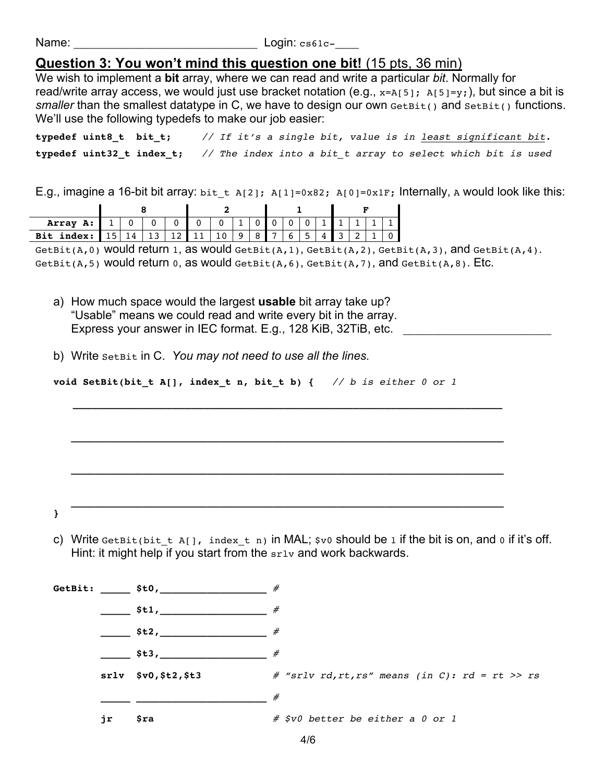Name: \_\_\_\_\_\_\_\_\_\_\_\_\_\_\_\_\_\_\_\_\_\_\_\_\_\_\_\_\_\_\_ Login: cs61c-\_\_\_\_

## **Question 3: You won't mind this question one bit!** (15 pts, 36 min)

We wish to implement a **bit** array, where we can read and write a particular *bit*. Normally for read/write array access, we would just use bracket notation (e.g.,  $x=A[5]$ ;  $A[5]=y$ ;), but since a bit is *smaller* than the smallest datatype in C, we have to design our own GetBit() and SetBit() functions. We'll use the following typedefs to make our job easier:

| typedef uint8_t bit_t; |                                                                                                  |  |  |  | // If it's a single bit, value is in least significant bit. |  |  |  |  |
|------------------------|--------------------------------------------------------------------------------------------------|--|--|--|-------------------------------------------------------------|--|--|--|--|
|                        | typedef uint32 t index t; $\frac{1}{2}$ The index into a bit t array to select which bit is used |  |  |  |                                                             |  |  |  |  |

E.g., imagine a 16-bit bit array: bit t A[2]; A[1]=0x82; A[0]=0x1F; Internally, A would look like this:

| Array<br>A:  |   |     |    |  |  |  |   |                          |  |   |  |   |  |  |
|--------------|---|-----|----|--|--|--|---|--------------------------|--|---|--|---|--|--|
| Bit<br>ndex: | 4 | ∸ ~ | -- |  |  |  | ົ | $\overline{\phantom{0}}$ |  | J |  | ∽ |  |  |

GetBit(A,0) Would return 1, as would  $\det$ Bit(A,1),  $\det$ Bit(A,2),  $\det$ Bit(A,3), and  $\det$ Bit(A,4). GetBit(A,5) would return  $0$ , as would  $G$ etBit(A,6),  $G$ etBit(A,7), and  $G$ etBit(A,8). Etc.

- a) How much space would the largest **usable** bit array take up? "Usable" means we could read and write every bit in the array. Express your answer in IEC format. E.g., 128 KiB, 32TiB, etc.
- b) Write SetBit in C. *You may not need to use all the lines.*

**void SetBit(bit\_t A[], index\_t n, bit\_t b) {** *// b is either 0 or 1*

**\_\_\_\_\_\_\_\_\_\_\_\_\_\_\_\_\_\_\_\_\_\_\_\_\_\_\_\_\_\_\_\_\_\_\_\_\_\_\_\_\_\_\_\_\_\_\_\_\_\_\_\_\_\_\_\_\_\_\_\_\_\_\_\_\_\_\_\_\_**

 **\_\_\_\_\_\_\_\_\_\_\_\_\_\_\_\_\_\_\_\_\_\_\_\_\_\_\_\_\_\_\_\_\_\_\_\_\_\_\_\_\_\_\_\_\_\_\_\_\_\_\_\_\_\_\_\_\_\_\_\_\_\_\_\_\_\_\_\_\_\_\_\_\_**

 **\_\_\_\_\_\_\_\_\_\_\_\_\_\_\_\_\_\_\_\_\_\_\_\_\_\_\_\_\_\_\_\_\_\_\_\_\_\_\_\_\_\_\_\_\_\_\_\_\_\_\_\_\_\_\_\_\_\_\_\_\_\_\_\_\_\_\_\_\_\_\_\_\_**

 **\_\_\_\_\_\_\_\_\_\_\_\_\_\_\_\_\_\_\_\_\_\_\_\_\_\_\_\_\_\_\_\_\_\_\_\_\_\_\_\_\_\_\_\_\_\_\_\_\_\_\_\_\_\_\_\_\_\_\_\_\_\_\_\_\_\_\_\_\_\_\_\_\_**

**}**

c) Write GetBit(bit t A[], index t n) in MAL;  $\frac{1}{2}$  v0 should be 1 if the bit is on, and 0 if it's off. Hint: it might help if you start from the  $s_{r1v}$  and work backwards.

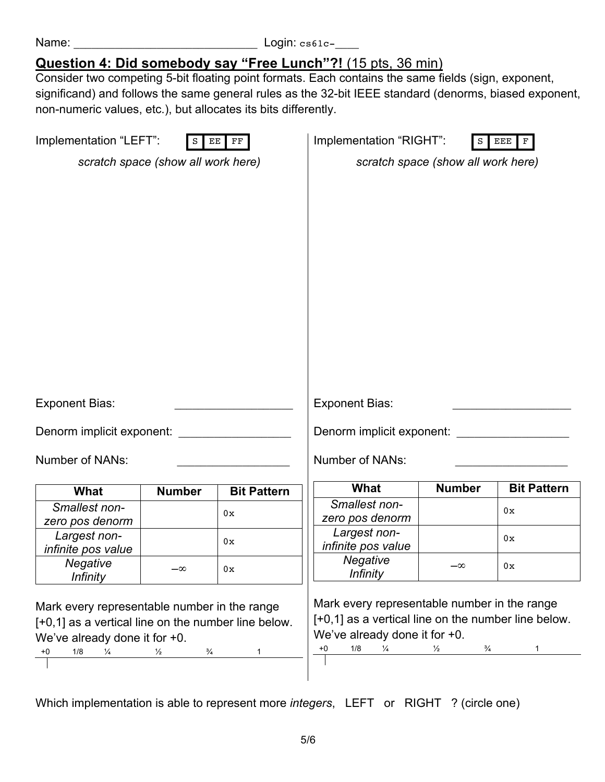| Name: |  |  |
|-------|--|--|
|       |  |  |
|       |  |  |

 $Login: cs61c-$ 

## **Question 4: Did somebody say "Free Lunch"?!** (15 pts, 36 min)

Consider two competing 5-bit floating point formats. Each contains the same fields (sign, exponent, significand) and follows the same general rules as the 32-bit IEEE standard (denorms, biased exponent, non-numeric values, etc.), but allocates its bits differently.

| Implementation "LEFT":                              | $\,$ S                             | EE FF              | Implementation "RIGHT":                             | ${\tt S}$                          | EEE  <br>$\mathbf F$ |
|-----------------------------------------------------|------------------------------------|--------------------|-----------------------------------------------------|------------------------------------|----------------------|
|                                                     | scratch space (show all work here) |                    |                                                     | scratch space (show all work here) |                      |
|                                                     |                                    |                    |                                                     |                                    |                      |
|                                                     |                                    |                    |                                                     |                                    |                      |
|                                                     |                                    |                    |                                                     |                                    |                      |
|                                                     |                                    |                    |                                                     |                                    |                      |
|                                                     |                                    |                    |                                                     |                                    |                      |
|                                                     |                                    |                    |                                                     |                                    |                      |
|                                                     |                                    |                    |                                                     |                                    |                      |
|                                                     |                                    |                    |                                                     |                                    |                      |
|                                                     |                                    |                    |                                                     |                                    |                      |
|                                                     |                                    |                    |                                                     |                                    |                      |
|                                                     |                                    |                    |                                                     |                                    |                      |
| <b>Exponent Bias:</b>                               |                                    |                    | <b>Exponent Bias:</b>                               |                                    |                      |
|                                                     |                                    |                    |                                                     |                                    |                      |
| Denorm implicit exponent:                           |                                    |                    | Denorm implicit exponent: ____________              |                                    |                      |
| Number of NANs:                                     |                                    |                    | Number of NANs:                                     |                                    |                      |
|                                                     |                                    |                    |                                                     |                                    |                      |
| <b>What</b>                                         | <b>Number</b>                      | <b>Bit Pattern</b> | What                                                | <b>Number</b>                      | <b>Bit Pattern</b>   |
| Smallest non-                                       |                                    | 0x                 | Smallest non-<br>zero pos denorm                    |                                    | 0x                   |
| zero pos denorm<br>Largest non-                     |                                    |                    | Largest non-                                        |                                    | 0x                   |
| infinite pos value                                  |                                    | 0x                 | infinite pos value                                  |                                    |                      |
| Negative                                            | $-\infty$                          | 0x                 | Negative<br><b>Infinity</b>                         | $-\infty$                          | 0x                   |
| <b>Infinity</b>                                     |                                    |                    |                                                     |                                    |                      |
| Mark every representable number in the range        |                                    |                    | Mark every representable number in the range        |                                    |                      |
| [+0,1] as a vertical line on the number line below. |                                    |                    | [+0,1] as a vertical line on the number line below. |                                    |                      |
| We've already done it for $+0$ .                    |                                    |                    | We've already done it for $+0$ .                    |                                    |                      |
| 1/8<br>$\frac{1}{4}$<br>$+0$                        | $\frac{3}{4}$<br>$\frac{1}{2}$     | 1                  | 1/8<br>$\frac{1}{4}$<br>$+0$                        | $\frac{1}{2}$<br>$\frac{3}{4}$     | $\mathbf{1}$         |
|                                                     |                                    |                    |                                                     |                                    |                      |

Which implementation is able to represent more *integers*, LEFT or RIGHT ? (circle one)